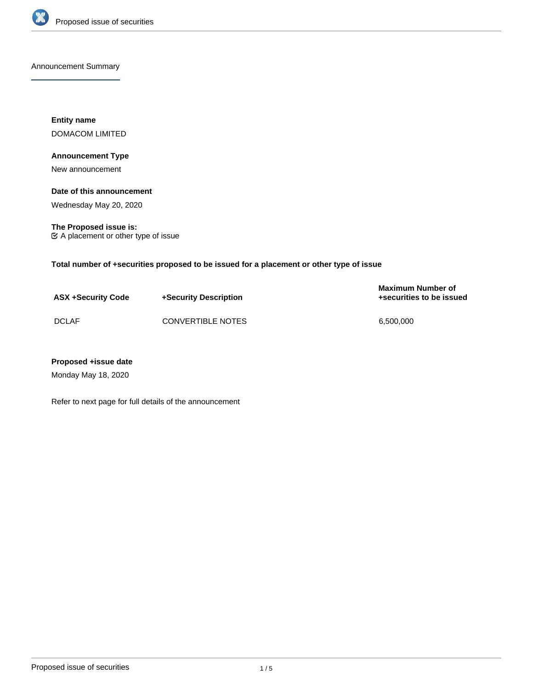

Announcement Summary

**Entity name** DOMACOM LIMITED

## **Announcement Type**

New announcement

## **Date of this announcement**

Wednesday May 20, 2020

**The Proposed issue is:** A placement or other type of issue

**Total number of +securities proposed to be issued for a placement or other type of issue**

| <b>ASX +Security Code</b> | +Security Description | <b>Maximum Number of</b><br>+securities to be issued |
|---------------------------|-----------------------|------------------------------------------------------|
| <b>DCLAF</b>              | CONVERTIBLE NOTES     | 6.500.000                                            |

## **Proposed +issue date**

Monday May 18, 2020

Refer to next page for full details of the announcement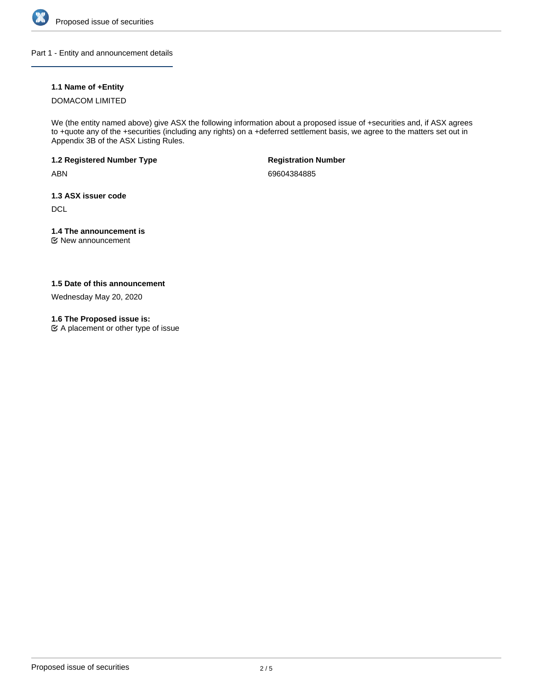

Part 1 - Entity and announcement details

## **1.1 Name of +Entity**

#### DOMACOM LIMITED

We (the entity named above) give ASX the following information about a proposed issue of +securities and, if ASX agrees to +quote any of the +securities (including any rights) on a +deferred settlement basis, we agree to the matters set out in Appendix 3B of the ASX Listing Rules.

**1.2 Registered Number Type**

ABN

**Registration Number**

69604384885

**1.3 ASX issuer code**

**DCL** 

# **1.4 The announcement is**

New announcement

## **1.5 Date of this announcement**

Wednesday May 20, 2020

## **1.6 The Proposed issue is:**

 $\mathfrak{C}$  A placement or other type of issue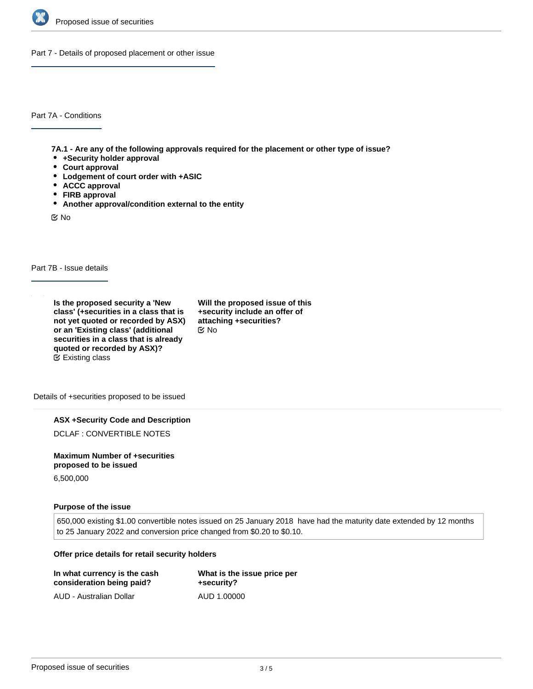

Part 7 - Details of proposed placement or other issue

Part 7A - Conditions

**7A.1 - Are any of the following approvals required for the placement or other type of issue?**

- **+Security holder approval**
- **Court approval**
- **Lodgement of court order with +ASIC**
- **ACCC approval**
- **FIRB approval**
- **Another approval/condition external to the entity**

No

Part 7B - Issue details

**Is the proposed security a 'New class' (+securities in a class that is not yet quoted or recorded by ASX) or an 'Existing class' (additional securities in a class that is already quoted or recorded by ASX)?** Existing class

**Will the proposed issue of this +security include an offer of attaching +securities?** No

Details of +securities proposed to be issued

**ASX +Security Code and Description**

DCLAF : CONVERTIBLE NOTES

**Maximum Number of +securities proposed to be issued**

6,500,000

#### **Purpose of the issue**

650,000 existing \$1.00 convertible notes issued on 25 January 2018 have had the maturity date extended by 12 months to 25 January 2022 and conversion price changed from \$0.20 to \$0.10.

#### **Offer price details for retail security holders**

| In what currency is the cash | What is the issue price per |
|------------------------------|-----------------------------|
| consideration being paid?    | +security?                  |
| AUD - Australian Dollar      | AUD 1.00000                 |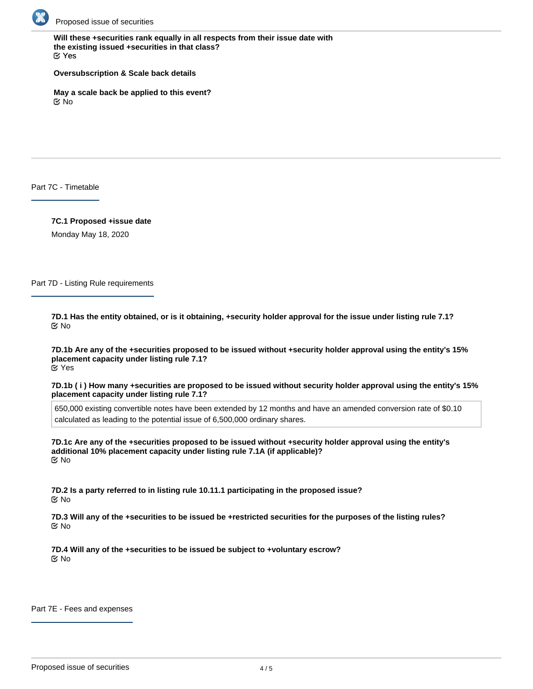

**Will these +securities rank equally in all respects from their issue date with the existing issued +securities in that class?** Yes

**Oversubscription & Scale back details**

**May a scale back be applied to this event?** No

Part 7C - Timetable

**7C.1 Proposed +issue date** Monday May 18, 2020

Part 7D - Listing Rule requirements

**7D.1 Has the entity obtained, or is it obtaining, +security holder approval for the issue under listing rule 7.1?** No

**7D.1b Are any of the +securities proposed to be issued without +security holder approval using the entity's 15% placement capacity under listing rule 7.1?** Yes

**7D.1b ( i ) How many +securities are proposed to be issued without security holder approval using the entity's 15% placement capacity under listing rule 7.1?**

650,000 existing convertible notes have been extended by 12 months and have an amended conversion rate of \$0.10 calculated as leading to the potential issue of 6,500,000 ordinary shares.

**7D.1c Are any of the +securities proposed to be issued without +security holder approval using the entity's additional 10% placement capacity under listing rule 7.1A (if applicable)?** No

**7D.2 Is a party referred to in listing rule 10.11.1 participating in the proposed issue?** No

**7D.3 Will any of the +securities to be issued be +restricted securities for the purposes of the listing rules?** No

**7D.4 Will any of the +securities to be issued be subject to +voluntary escrow?** No

Part 7E - Fees and expenses